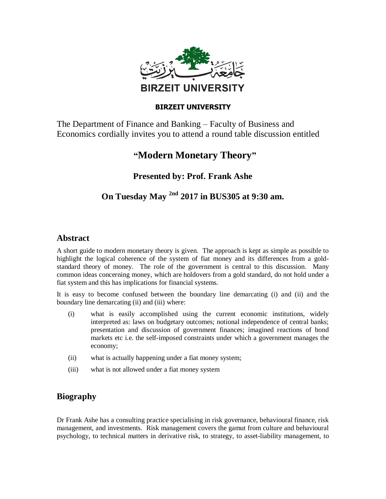

#### **BIRZEIT UNIVERSITY**

The Department of Finance and Banking – Faculty of Business and Economics cordially invites you to attend a round table discussion entitled

# **"Modern Monetary Theory"**

**Presented by: Prof. Frank Ashe**

## **On Tuesday May 2nd 2017 in BUS305 at 9:30 am.**

### **Abstract**

A short guide to modern monetary theory is given. The approach is kept as simple as possible to highlight the logical coherence of the system of fiat money and its differences from a goldstandard theory of money. The role of the government is central to this discussion. Many common ideas concerning money, which are holdovers from a gold standard, do not hold under a fiat system and this has implications for financial systems.

It is easy to become confused between the boundary line demarcating (i) and (ii) and the boundary line demarcating (ii) and (iii) where:

- (i) what is easily accomplished using the current economic institutions, widely interpreted as: laws on budgetary outcomes; notional independence of central banks; presentation and discussion of government finances; imagined reactions of bond markets etc i.e. the self-imposed constraints under which a government manages the economy;
- (ii) what is actually happening under a fiat money system;
- (iii) what is not allowed under a fiat money system

### **Biography**

Dr Frank Ashe has a consulting practice specialising in risk governance, behavioural finance, risk management, and investments. Risk management covers the gamut from culture and behavioural psychology, to technical matters in derivative risk, to strategy, to asset-liability management, to